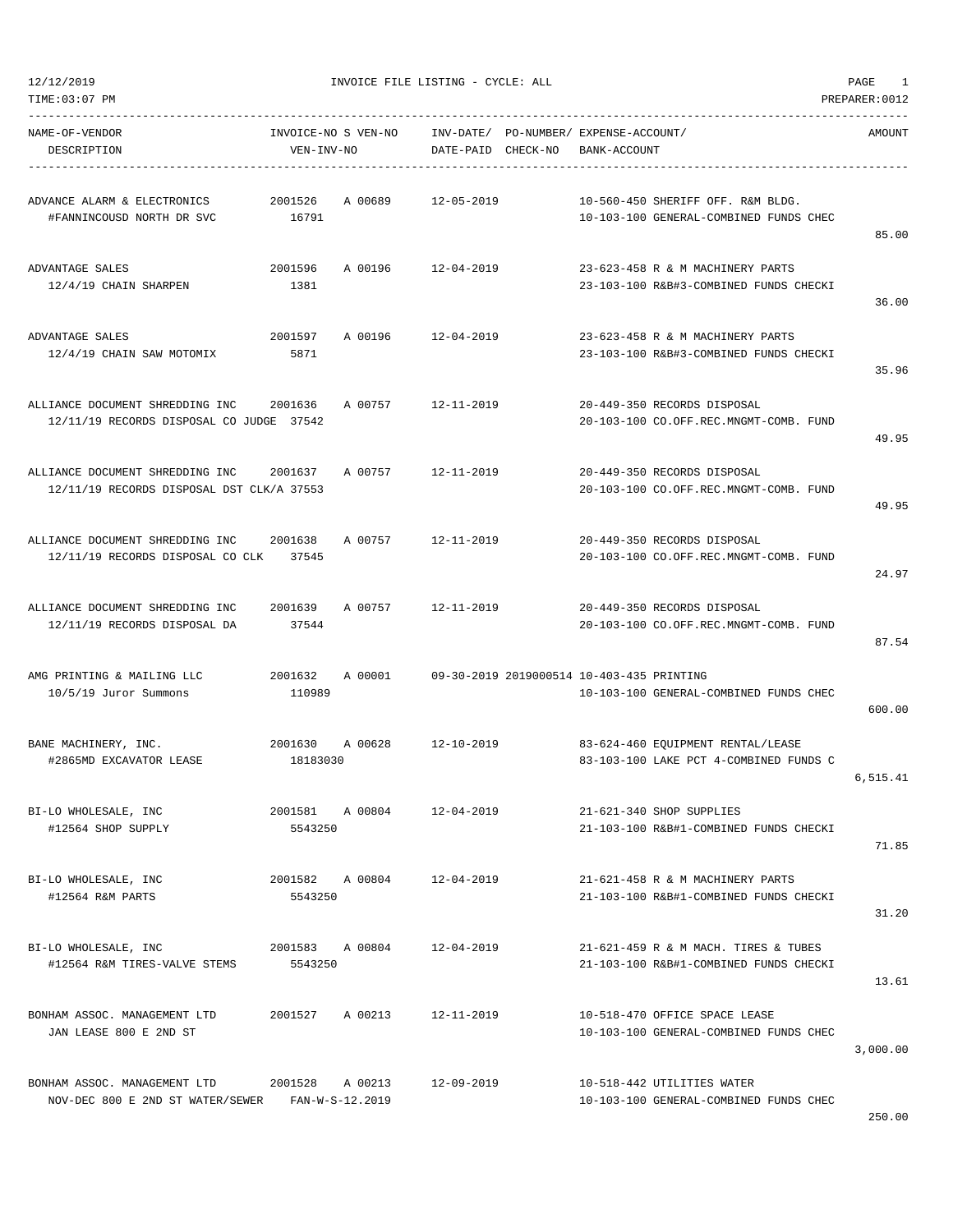| TIME:03:07 PM                                                                                    |                                        |         |                    |                                                       |                                                                                | PREPARER: 0012 |
|--------------------------------------------------------------------------------------------------|----------------------------------------|---------|--------------------|-------------------------------------------------------|--------------------------------------------------------------------------------|----------------|
| NAME-OF-VENDOR<br>DESCRIPTION                                                                    | INVOICE-NO S VEN-NO<br>VEN-INV-NO      |         | DATE-PAID CHECK-NO | INV-DATE/ PO-NUMBER/ EXPENSE-ACCOUNT/<br>BANK-ACCOUNT |                                                                                | AMOUNT         |
| ADVANCE ALARM & ELECTRONICS<br>#FANNINCOUSD NORTH DR SVC                                         | 2001526<br>16791                       | A 00689 | 12-05-2019         |                                                       | 10-560-450 SHERIFF OFF. R&M BLDG.<br>10-103-100 GENERAL-COMBINED FUNDS CHEC    | 85.00          |
| ADVANTAGE SALES<br>12/4/19 CHAIN SHARPEN                                                         | 2001596<br>1381                        |         | A 00196 12-04-2019 |                                                       | 23-623-458 R & M MACHINERY PARTS<br>23-103-100 R&B#3-COMBINED FUNDS CHECKI     | 36.00          |
| ADVANTAGE SALES<br>12/4/19 CHAIN SAW MOTOMIX                                                     | 2001597<br>5871                        | A 00196 | 12-04-2019         |                                                       | 23-623-458 R & M MACHINERY PARTS<br>23-103-100 R&B#3-COMBINED FUNDS CHECKI     | 35.96          |
| ALLIANCE DOCUMENT SHREDDING INC 2001636<br>12/11/19 RECORDS DISPOSAL CO JUDGE 37542              |                                        | A 00757 | 12-11-2019         |                                                       | 20-449-350 RECORDS DISPOSAL<br>20-103-100 CO.OFF.REC.MNGMT-COMB. FUND          | 49.95          |
| ALLIANCE DOCUMENT SHREDDING INC 2001637<br>12/11/19 RECORDS DISPOSAL DST CLK/A 37553             |                                        | A 00757 | 12-11-2019         |                                                       | 20-449-350 RECORDS DISPOSAL<br>20-103-100 CO.OFF.REC.MNGMT-COMB. FUND          | 49.95          |
| ALLIANCE DOCUMENT SHREDDING INC 2001638<br>12/11/19 RECORDS DISPOSAL CO CLK 37545                |                                        | A 00757 | 12-11-2019         |                                                       | 20-449-350 RECORDS DISPOSAL<br>20-103-100 CO.OFF.REC.MNGMT-COMB. FUND          | 24.97          |
| ALLIANCE DOCUMENT SHREDDING INC<br>12/11/19 RECORDS DISPOSAL DA                                  | 2001639<br>37544                       | A 00757 | 12-11-2019         |                                                       | 20-449-350 RECORDS DISPOSAL<br>20-103-100 CO.OFF.REC.MNGMT-COMB. FUND          | 87.54          |
| AMG PRINTING & MAILING LLC<br>10/5/19 Juror Summons                                              | 2001632<br>110989                      | A 00001 |                    | 09-30-2019 2019000514 10-403-435 PRINTING             | 10-103-100 GENERAL-COMBINED FUNDS CHEC                                         | 600.00         |
| BANE MACHINERY, INC.<br>#2865MD EXCAVATOR LEASE                                                  | 2001630 A 00628 12-10-2019<br>18183030 |         |                    |                                                       | 83-624-460 EQUIPMENT RENTAL/LEASE<br>83-103-100 LAKE PCT 4-COMBINED FUNDS C    | 6,515.41       |
| BI-LO WHOLESALE, INC<br>#12564 SHOP SUPPLY                                                       | 2001581 A 00804<br>5543250             |         | 12-04-2019         |                                                       | 21-621-340 SHOP SUPPLIES<br>21-103-100 R&B#1-COMBINED FUNDS CHECKI             | 71.85          |
| BI-LO WHOLESALE, INC<br>#12564 R&M PARTS                                                         | 2001582 A 00804 12-04-2019<br>5543250  |         |                    |                                                       | 21-621-458 R & M MACHINERY PARTS<br>21-103-100 R&B#1-COMBINED FUNDS CHECKI     | 31.20          |
| BI-LO WHOLESALE, INC<br>#12564 R&M TIRES-VALVE STEMS                                             | 2001583 A 00804<br>5543250             |         | 12-04-2019         |                                                       | 21-621-459 R & M MACH. TIRES & TUBES<br>21-103-100 R&B#1-COMBINED FUNDS CHECKI | 13.61          |
| BONHAM ASSOC. MANAGEMENT LTD<br>JAN LEASE 800 E 2ND ST                                           | 2001527 A 00213                        |         | 12-11-2019         |                                                       | 10-518-470 OFFICE SPACE LEASE<br>10-103-100 GENERAL-COMBINED FUNDS CHEC        | 3,000.00       |
| BONHAM ASSOC. MANAGEMENT LTD 2001528 A 00213<br>NOV-DEC 800 E 2ND ST WATER/SEWER FAN-W-S-12.2019 |                                        |         | 12-09-2019         |                                                       | 10-518-442 UTILITIES WATER<br>10-103-100 GENERAL-COMBINED FUNDS CHEC           |                |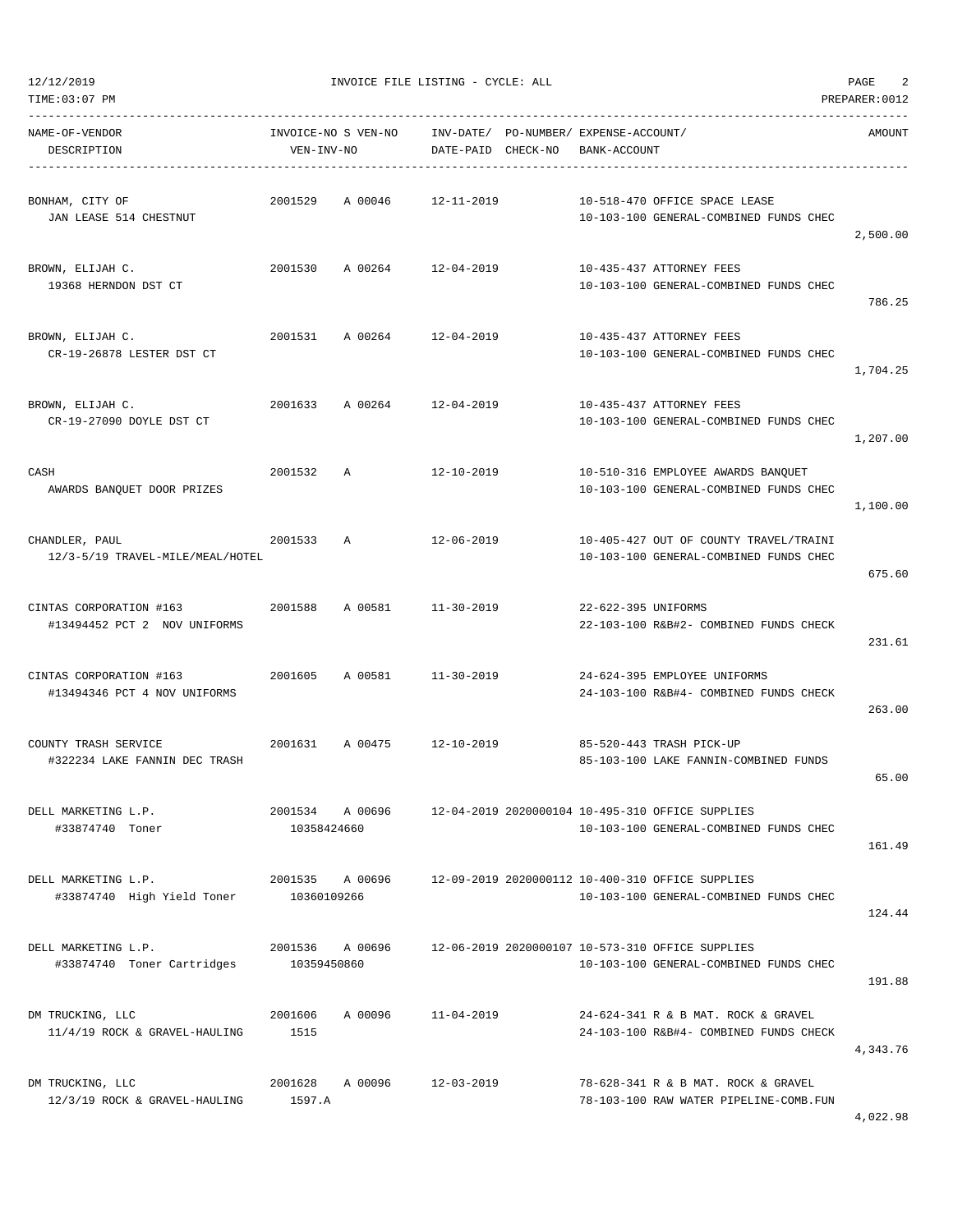| NAME-OF-VENDOR<br>DESCRIPTION                                   | VEN-INV-NO  |                 | INVOICE-NO S VEN-NO    INV-DATE/ PO-NUMBER/ EXPENSE-ACCOUNT/<br>DATE-PAID CHECK-NO | BANK-ACCOUNT        |                                                                                                            | AMOUNT   |
|-----------------------------------------------------------------|-------------|-----------------|------------------------------------------------------------------------------------|---------------------|------------------------------------------------------------------------------------------------------------|----------|
| BONHAM, CITY OF<br>JAN LEASE 514 CHESTNUT                       |             |                 | 2001529 A 00046 12-11-2019                                                         |                     | 10-518-470 OFFICE SPACE LEASE<br>10-103-100 GENERAL-COMBINED FUNDS CHEC                                    | 2,500.00 |
| BROWN, ELIJAH C.<br>19368 HERNDON DST CT                        |             |                 | 2001530 A 00264 12-04-2019                                                         |                     | 10-435-437 ATTORNEY FEES<br>10-103-100 GENERAL-COMBINED FUNDS CHEC                                         | 786.25   |
| BROWN, ELIJAH C.<br>CR-19-26878 LESTER DST CT                   |             |                 | 2001531 A 00264 12-04-2019                                                         |                     | 10-435-437 ATTORNEY FEES<br>10-103-100 GENERAL-COMBINED FUNDS CHEC                                         | 1,704.25 |
| BROWN, ELIJAH C.<br>CR-19-27090 DOYLE DST CT                    |             |                 | 2001633 A 00264 12-04-2019                                                         |                     | 10-435-437 ATTORNEY FEES<br>10-103-100 GENERAL-COMBINED FUNDS CHEC                                         | 1,207.00 |
| CASH<br>AWARDS BANQUET DOOR PRIZES                              | 2001532 A   |                 | 12-10-2019                                                                         |                     | 10-510-316 EMPLOYEE AWARDS BANQUET<br>10-103-100 GENERAL-COMBINED FUNDS CHEC                               | 1,100.00 |
| CHANDLER, PAUL<br>12/3-5/19 TRAVEL-MILE/MEAL/HOTEL              | 2001533 A   |                 | 12-06-2019                                                                         |                     | 10-405-427 OUT OF COUNTY TRAVEL/TRAINI<br>10-103-100 GENERAL-COMBINED FUNDS CHEC                           | 675.60   |
| CINTAS CORPORATION #163<br>#13494452 PCT 2 NOV UNIFORMS         |             |                 | 2001588 A 00581 11-30-2019                                                         | 22-622-395 UNIFORMS | 22-103-100 R&B#2- COMBINED FUNDS CHECK                                                                     | 231.61   |
| CINTAS CORPORATION #163 2001605<br>#13494346 PCT 4 NOV UNIFORMS |             |                 | A 00581 11-30-2019                                                                 |                     | 24-624-395 EMPLOYEE UNIFORMS<br>24-103-100 R&B#4- COMBINED FUNDS CHECK                                     | 263.00   |
| COUNTY TRASH SERVICE<br>#322234 LAKE FANNIN DEC TRASH           |             |                 | 2001631 A 00475 12-10-2019                                                         |                     | 85-520-443 TRASH PICK-UP<br>85-103-100 LAKE FANNIN-COMBINED FUNDS                                          | 65.00    |
| DELL MARKETING L.P.<br>#33874740 Toner                          | 10358424660 | 2001534 A 00696 |                                                                                    |                     | 12-04-2019 2020000104 10-495-310 OFFICE SUPPLIES<br>10-103-100 GENERAL-COMBINED FUNDS CHEC                 | 161.49   |
| DELL MARKETING L.P.<br>#33874740 High Yield Toner 10360109266   |             |                 |                                                                                    |                     | 2001535 A 00696 12-09-2019 2020000112 10-400-310 OFFICE SUPPLIES<br>10-103-100 GENERAL-COMBINED FUNDS CHEC | 124.44   |
| DELL MARKETING L.P.<br>#33874740 Toner Cartridges 10359450860   |             |                 |                                                                                    |                     | 2001536 A 00696 12-06-2019 2020000107 10-573-310 OFFICE SUPPLIES<br>10-103-100 GENERAL-COMBINED FUNDS CHEC | 191.88   |
| DM TRUCKING, LLC<br>$11/4/19$ ROCK & GRAVEL-HAULING 1515        | 2001606     |                 | A 00096 11-04-2019                                                                 |                     | 24-624-341 R & B MAT. ROCK & GRAVEL<br>24-103-100 R&B#4- COMBINED FUNDS CHECK                              | 4,343.76 |
| DM TRUCKING, LLC<br>12/3/19 ROCK & GRAVEL-HAULING               | 1597.A      |                 | 2001628 A 00096 12-03-2019                                                         |                     | 78-628-341 R & B MAT. ROCK & GRAVEL<br>78-103-100 RAW WATER PIPELINE-COMB.FUN                              | 4,022.98 |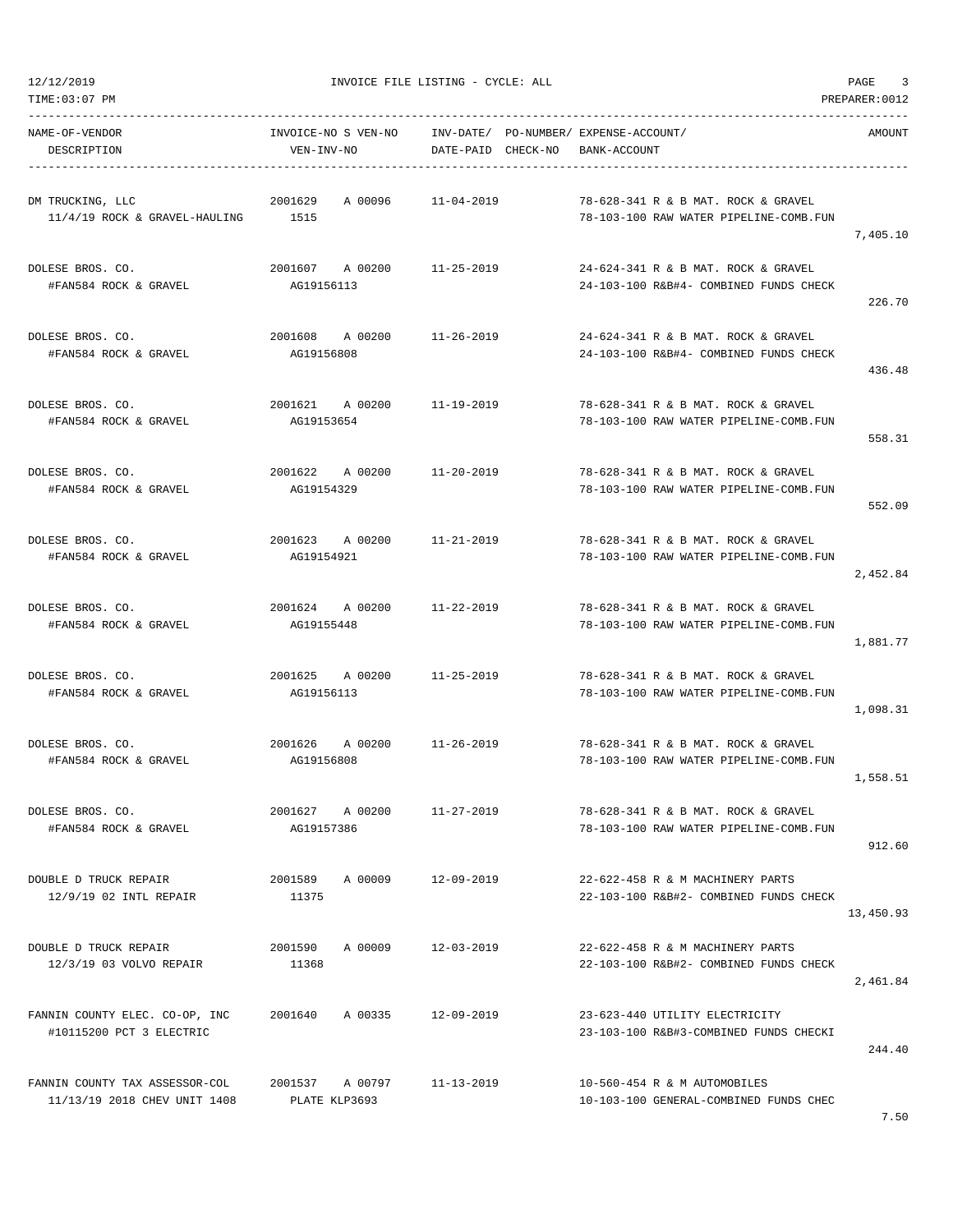| TIME:03:07 PM                                                  |                                   |                                                             |                                                                               | PREPARER: 0012 |
|----------------------------------------------------------------|-----------------------------------|-------------------------------------------------------------|-------------------------------------------------------------------------------|----------------|
| NAME-OF-VENDOR<br>DESCRIPTION                                  | INVOICE-NO S VEN-NO<br>VEN-INV-NO | INV-DATE/ PO-NUMBER/ EXPENSE-ACCOUNT/<br>DATE-PAID CHECK-NO | BANK-ACCOUNT                                                                  | AMOUNT         |
| DM TRUCKING, LLC<br>11/4/19 ROCK & GRAVEL-HAULING              | 2001629<br>A 00096<br>1515        | $11 - 04 - 2019$                                            | 78-628-341 R & B MAT, ROCK & GRAVEL<br>78-103-100 RAW WATER PIPELINE-COMB.FUN | 7,405.10       |
| DOLESE BROS. CO.<br>#FAN584 ROCK & GRAVEL                      | 2001607 A 00200<br>AG19156113     | 11-25-2019                                                  | 24-624-341 R & B MAT. ROCK & GRAVEL<br>24-103-100 R&B#4- COMBINED FUNDS CHECK | 226.70         |
| DOLESE BROS. CO.<br>#FAN584 ROCK & GRAVEL                      | 2001608<br>A 00200<br>AG19156808  | 11-26-2019                                                  | 24-624-341 R & B MAT. ROCK & GRAVEL<br>24-103-100 R&B#4- COMBINED FUNDS CHECK | 436.48         |
| DOLESE BROS. CO.<br>#FAN584 ROCK & GRAVEL                      | 2001621 A 00200<br>AG19153654     | 11-19-2019                                                  | 78-628-341 R & B MAT. ROCK & GRAVEL<br>78-103-100 RAW WATER PIPELINE-COMB.FUN | 558.31         |
| DOLESE BROS. CO.<br>#FAN584 ROCK & GRAVEL                      | 2001622<br>A 00200<br>AG19154329  | 11-20-2019                                                  | 78-628-341 R & B MAT. ROCK & GRAVEL<br>78-103-100 RAW WATER PIPELINE-COMB.FUN | 552.09         |
| DOLESE BROS. CO.<br>#FAN584 ROCK & GRAVEL                      | 2001623 A 00200<br>AG19154921     | 11-21-2019                                                  | 78-628-341 R & B MAT. ROCK & GRAVEL<br>78-103-100 RAW WATER PIPELINE-COMB.FUN | 2,452.84       |
| DOLESE BROS. CO.<br>#FAN584 ROCK & GRAVEL                      | 2001624 A 00200<br>AG19155448     | 11-22-2019                                                  | 78-628-341 R & B MAT. ROCK & GRAVEL<br>78-103-100 RAW WATER PIPELINE-COMB.FUN | 1,881.77       |
| DOLESE BROS. CO.<br>#FAN584 ROCK & GRAVEL                      | 2001625<br>A 00200<br>AG19156113  | 11-25-2019                                                  | 78-628-341 R & B MAT. ROCK & GRAVEL<br>78-103-100 RAW WATER PIPELINE-COMB.FUN | 1,098.31       |
| DOLESE BROS. CO.<br>#FAN584 ROCK & GRAVEL                      | 2001626<br>AG19156808             | A 00200 11-26-2019                                          | 78-628-341 R & B MAT. ROCK & GRAVEL<br>78-103-100 RAW WATER PIPELINE-COMB.FUN | 1,558.51       |
| DOLESE BROS. CO.<br>#FAN584 ROCK & GRAVEL                      | 2001627 A 00200<br>AG19157386     | $11 - 27 - 2019$                                            | 78-628-341 R & B MAT. ROCK & GRAVEL<br>78-103-100 RAW WATER PIPELINE-COMB.FUN | 912.60         |
| DOUBLE D TRUCK REPAIR<br>12/9/19 02 INTL REPAIR                | 2001589<br>A 00009<br>11375       | 12-09-2019                                                  | 22-622-458 R & M MACHINERY PARTS<br>22-103-100 R&B#2- COMBINED FUNDS CHECK    | 13,450.93      |
| DOUBLE D TRUCK REPAIR<br>12/3/19 03 VOLVO REPAIR               | 2001590<br>A 00009<br>11368       | $12 - 03 - 2019$                                            | 22-622-458 R & M MACHINERY PARTS<br>22-103-100 R&B#2- COMBINED FUNDS CHECK    | 2,461.84       |
| FANNIN COUNTY ELEC. CO-OP, INC<br>#10115200 PCT 3 ELECTRIC     | 2001640<br>A 00335                | 12-09-2019                                                  | 23-623-440 UTILITY ELECTRICITY<br>23-103-100 R&B#3-COMBINED FUNDS CHECKI      | 244.40         |
| FANNIN COUNTY TAX ASSESSOR-COL<br>11/13/19 2018 CHEV UNIT 1408 | 2001537 A 00797<br>PLATE KLP3693  | 11-13-2019                                                  | 10-560-454 R & M AUTOMOBILES<br>10-103-100 GENERAL-COMBINED FUNDS CHEC        |                |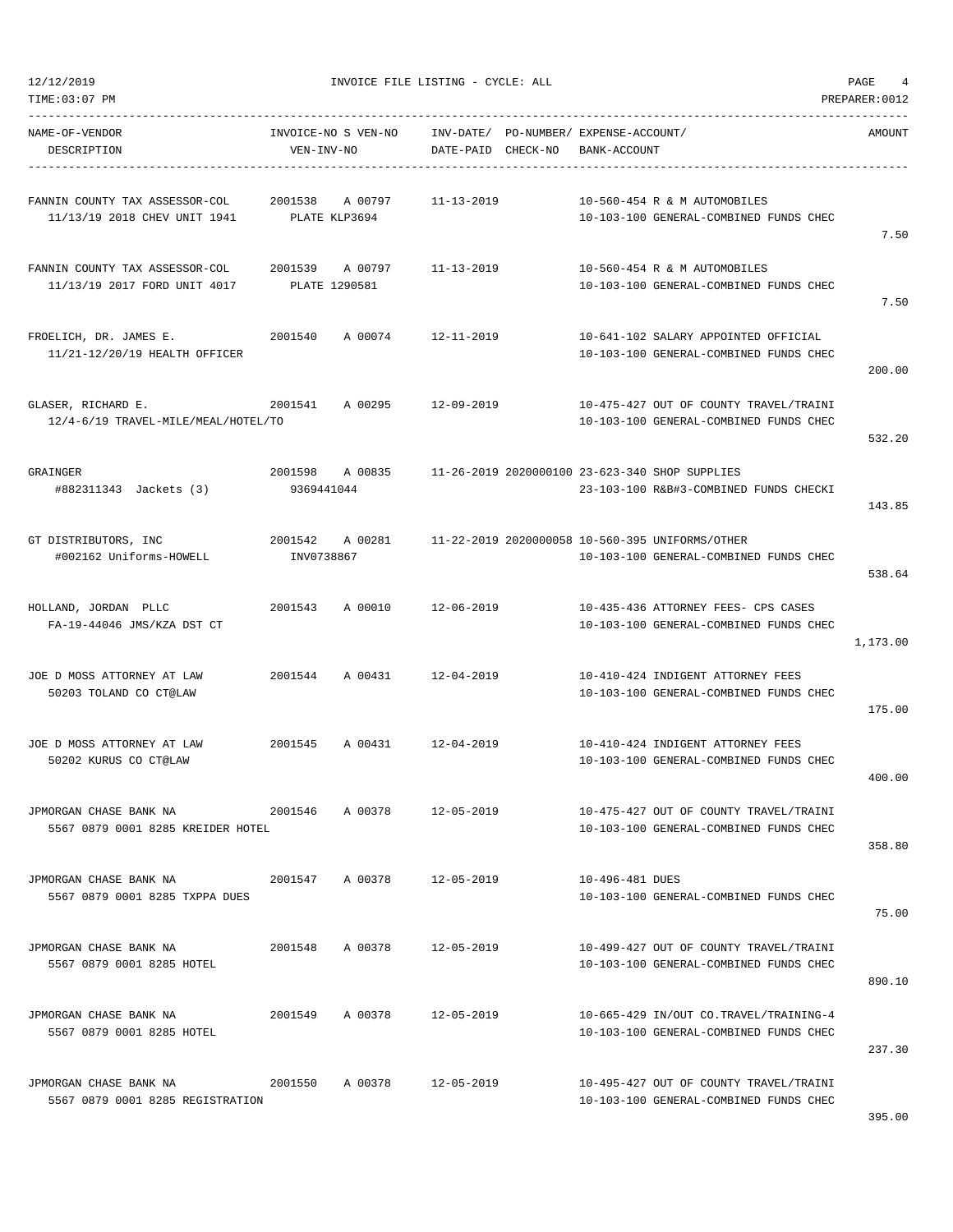TIME:03:07 PM PREPARER:0012

12/12/2019 INVOICE FILE LISTING - CYCLE: ALL PAGE 4

| NAME-OF-VENDOR<br>DESCRIPTION                                                                | VEN-INV-NO      | INVOICE-NO S VEN-NO     INV-DATE/ PO-NUMBER/ EXPENSE-ACCOUNT/ | DATE-PAID CHECK-NO | BANK-ACCOUNT    |                                                                                                           | AMOUNT   |
|----------------------------------------------------------------------------------------------|-----------------|---------------------------------------------------------------|--------------------|-----------------|-----------------------------------------------------------------------------------------------------------|----------|
| FANNIN COUNTY TAX ASSESSOR-COL 2001538 A 00797<br>11/13/19 2018 CHEV UNIT 1941 PLATE KLP3694 |                 |                                                               | 11-13-2019         |                 | 10-560-454 R & M AUTOMOBILES<br>10-103-100 GENERAL-COMBINED FUNDS CHEC                                    | 7.50     |
| FANNIN COUNTY TAX ASSESSOR-COL<br>11/13/19 2017 FORD UNIT 4017                               | PLATE 1290581   | 2001539 A 00797                                               | 11-13-2019         |                 | 10-560-454 R & M AUTOMOBILES<br>10-103-100 GENERAL-COMBINED FUNDS CHEC                                    | 7.50     |
| FROELICH, DR. JAMES E.<br>11/21-12/20/19 HEALTH OFFICER                                      | 2001540         | A 00074 12-11-2019                                            |                    |                 | 10-641-102 SALARY APPOINTED OFFICIAL<br>10-103-100 GENERAL-COMBINED FUNDS CHEC                            | 200.00   |
| GLASER, RICHARD E.<br>12/4-6/19 TRAVEL-MILE/MEAL/HOTEL/TO                                    | 2001541         | A 00295 12-09-2019                                            |                    |                 | 10-475-427 OUT OF COUNTY TRAVEL/TRAINI<br>10-103-100 GENERAL-COMBINED FUNDS CHEC                          | 532.20   |
| GRAINGER<br>#882311343 Jackets (3)                                                           | 9369441044      |                                                               |                    |                 | 2001598 A 00835 11-26-2019 2020000100 23-623-340 SHOP SUPPLIES<br>23-103-100 R&B#3-COMBINED FUNDS CHECKI  | 143.85   |
| GT DISTRIBUTORS, INC<br>#002162 Uniforms-HOWELL                                              | INV0738867      |                                                               |                    |                 | 2001542 A 00281 11-22-2019 2020000058 10-560-395 UNIFORMS/OTHER<br>10-103-100 GENERAL-COMBINED FUNDS CHEC | 538.64   |
| HOLLAND, JORDAN PLLC<br>FA-19-44046 JMS/KZA DST CT                                           |                 | 2001543 A 00010 12-06-2019                                    |                    |                 | 10-435-436 ATTORNEY FEES- CPS CASES<br>10-103-100 GENERAL-COMBINED FUNDS CHEC                             | 1,173.00 |
| JOE D MOSS ATTORNEY AT LAW<br>50203 TOLAND CO CT@LAW                                         | 2001544 A 00431 |                                                               | 12-04-2019         |                 | 10-410-424 INDIGENT ATTORNEY FEES<br>10-103-100 GENERAL-COMBINED FUNDS CHEC                               | 175.00   |
| JOE D MOSS ATTORNEY AT LAW<br>50202 KURUS CO CT@LAW                                          |                 | 2001545 A 00431 12-04-2019                                    |                    |                 | 10-410-424 INDIGENT ATTORNEY FEES<br>10-103-100 GENERAL-COMBINED FUNDS CHEC                               | 400.00   |
| JPMORGAN CHASE BANK NA<br>5567 0879 0001 8285 KREIDER HOTEL                                  | 2001546 A 00378 |                                                               | 12-05-2019         |                 | 10-475-427 OUT OF COUNTY TRAVEL/TRAINI<br>10-103-100 GENERAL-COMBINED FUNDS CHEC                          | 358.80   |
| JPMORGAN CHASE BANK NA<br>5567 0879 0001 8285 TXPPA DUES                                     |                 | 2001547 A 00378 12-05-2019                                    |                    | 10-496-481 DUES | 10-103-100 GENERAL-COMBINED FUNDS CHEC                                                                    | 75.00    |
| JPMORGAN CHASE BANK NA $2001548$ A 00378 12-05-2019<br>5567 0879 0001 8285 HOTEL             |                 |                                                               |                    |                 | 10-499-427 OUT OF COUNTY TRAVEL/TRAINI<br>10-103-100 GENERAL-COMBINED FUNDS CHEC                          | 890.10   |
| JPMORGAN CHASE BANK NA<br>5567 0879 0001 8285 HOTEL                                          | 2001549 A 00378 |                                                               | 12-05-2019         |                 | 10-665-429 IN/OUT CO.TRAVEL/TRAINING-4<br>10-103-100 GENERAL-COMBINED FUNDS CHEC                          | 237.30   |
| JPMORGAN CHASE BANK NA<br>5567 0879 0001 8285 REGISTRATION                                   |                 | 2001550 A 00378 12-05-2019                                    |                    |                 | 10-495-427 OUT OF COUNTY TRAVEL/TRAINI<br>10-103-100 GENERAL-COMBINED FUNDS CHEC                          | 205.00   |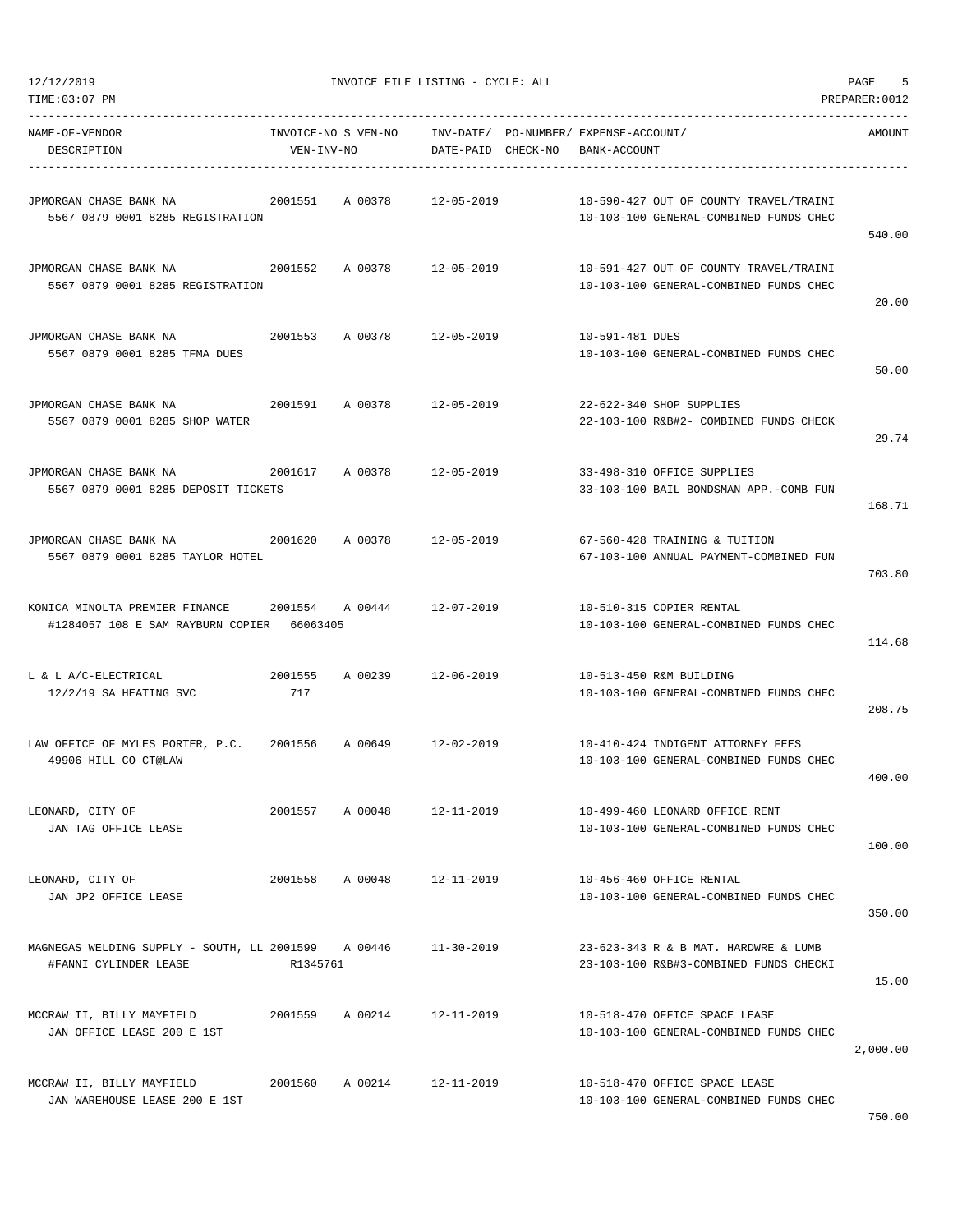| NAME-OF-VENDOR<br>DESCRIPTION                                                                           | VEN-INV-NO      | INVOICE-NO S VEN-NO INV-DATE/ PO-NUMBER/ EXPENSE-ACCOUNT/ | DATE-PAID CHECK-NO BANK-ACCOUNT |                 |                                                                                  | AMOUNT   |
|---------------------------------------------------------------------------------------------------------|-----------------|-----------------------------------------------------------|---------------------------------|-----------------|----------------------------------------------------------------------------------|----------|
| JPMORGAN CHASE BANK NA<br>5567 0879 0001 8285 REGISTRATION                                              | 2001551 A 00378 |                                                           | 12-05-2019                      |                 | 10-590-427 OUT OF COUNTY TRAVEL/TRAINI<br>10-103-100 GENERAL-COMBINED FUNDS CHEC | 540.00   |
| JPMORGAN CHASE BANK NA<br>5567 0879 0001 8285 REGISTRATION                                              |                 | 2001552 A 00378 12-05-2019                                |                                 |                 | 10-591-427 OUT OF COUNTY TRAVEL/TRAINI<br>10-103-100 GENERAL-COMBINED FUNDS CHEC | 20.00    |
| JPMORGAN CHASE BANK NA<br>5567 0879 0001 8285 TFMA DUES                                                 |                 | 2001553 A 00378 12-05-2019                                |                                 | 10-591-481 DUES | 10-103-100 GENERAL-COMBINED FUNDS CHEC                                           | 50.00    |
| JPMORGAN CHASE BANK NA<br>5567 0879 0001 8285 SHOP WATER                                                |                 | 2001591 A 00378 12-05-2019                                |                                 |                 | 22-622-340 SHOP SUPPLIES<br>22-103-100 R&B#2- COMBINED FUNDS CHECK               | 29.74    |
| JPMORGAN CHASE BANK NA<br>5567 0879 0001 8285 DEPOSIT TICKETS                                           |                 | 2001617 A 00378 12-05-2019                                |                                 |                 | 33-498-310 OFFICE SUPPLIES<br>33-103-100 BAIL BONDSMAN APP.-COMB FUN             | 168.71   |
| JPMORGAN CHASE BANK NA 2001620 A 00378 12-05-2019<br>5567 0879 0001 8285 TAYLOR HOTEL                   |                 |                                                           |                                 |                 | 67-560-428 TRAINING & TUITION<br>67-103-100 ANNUAL PAYMENT-COMBINED FUN          | 703.80   |
| KONICA MINOLTA PREMIER FINANCE 2001554 A 00444 12-07-2019<br>#1284057 108 E SAM RAYBURN COPIER 66063405 |                 |                                                           |                                 |                 | 10-510-315 COPIER RENTAL<br>10-103-100 GENERAL-COMBINED FUNDS CHEC               | 114.68   |
| L & L A/C-ELECTRICAL<br>2001555<br>12/2/19 SA HEATING SVC                                               | 717             | A 00239 12-06-2019                                        |                                 |                 | 10-513-450 R&M BUILDING<br>10-103-100 GENERAL-COMBINED FUNDS CHEC                | 208.75   |
| LAW OFFICE OF MYLES PORTER, P.C. 2001556 A 00649 12-02-2019<br>49906 HILL CO CT@LAW                     |                 |                                                           |                                 |                 | 10-410-424 INDIGENT ATTORNEY FEES<br>10-103-100 GENERAL-COMBINED FUNDS CHEC      | 400.00   |
| LEONARD, CITY OF<br>JAN TAG OFFICE LEASE                                                                | 2001557 A 00048 |                                                           | 12-11-2019                      |                 | 10-499-460 LEONARD OFFICE RENT<br>10-103-100 GENERAL-COMBINED FUNDS CHEC         | 100.00   |
| LEONARD, CITY OF<br>JAN JP2 OFFICE LEASE                                                                | 2001558         | A 00048 12-11-2019                                        |                                 |                 | 10-456-460 OFFICE RENTAL<br>10-103-100 GENERAL-COMBINED FUNDS CHEC               | 350.00   |
| MAGNEGAS WELDING SUPPLY - SOUTH, LL 2001599 A 00446<br>#FANNI CYLINDER LEASE                            | R1345761        |                                                           | $11 - 30 - 2019$                |                 | 23-623-343 R & B MAT. HARDWRE & LUMB<br>23-103-100 R&B#3-COMBINED FUNDS CHECKI   | 15.00    |
| MCCRAW II, BILLY MAYFIELD<br>JAN OFFICE LEASE 200 E 1ST                                                 | 2001559         | A 00214                                                   | 12-11-2019                      |                 | 10-518-470 OFFICE SPACE LEASE<br>10-103-100 GENERAL-COMBINED FUNDS CHEC          | 2,000.00 |
| MCCRAW II, BILLY MAYFIELD<br>JAN WAREHOUSE LEASE 200 E 1ST                                              | 2001560         | A 00214 12-11-2019                                        |                                 |                 | 10-518-470 OFFICE SPACE LEASE<br>10-103-100 GENERAL-COMBINED FUNDS CHEC          |          |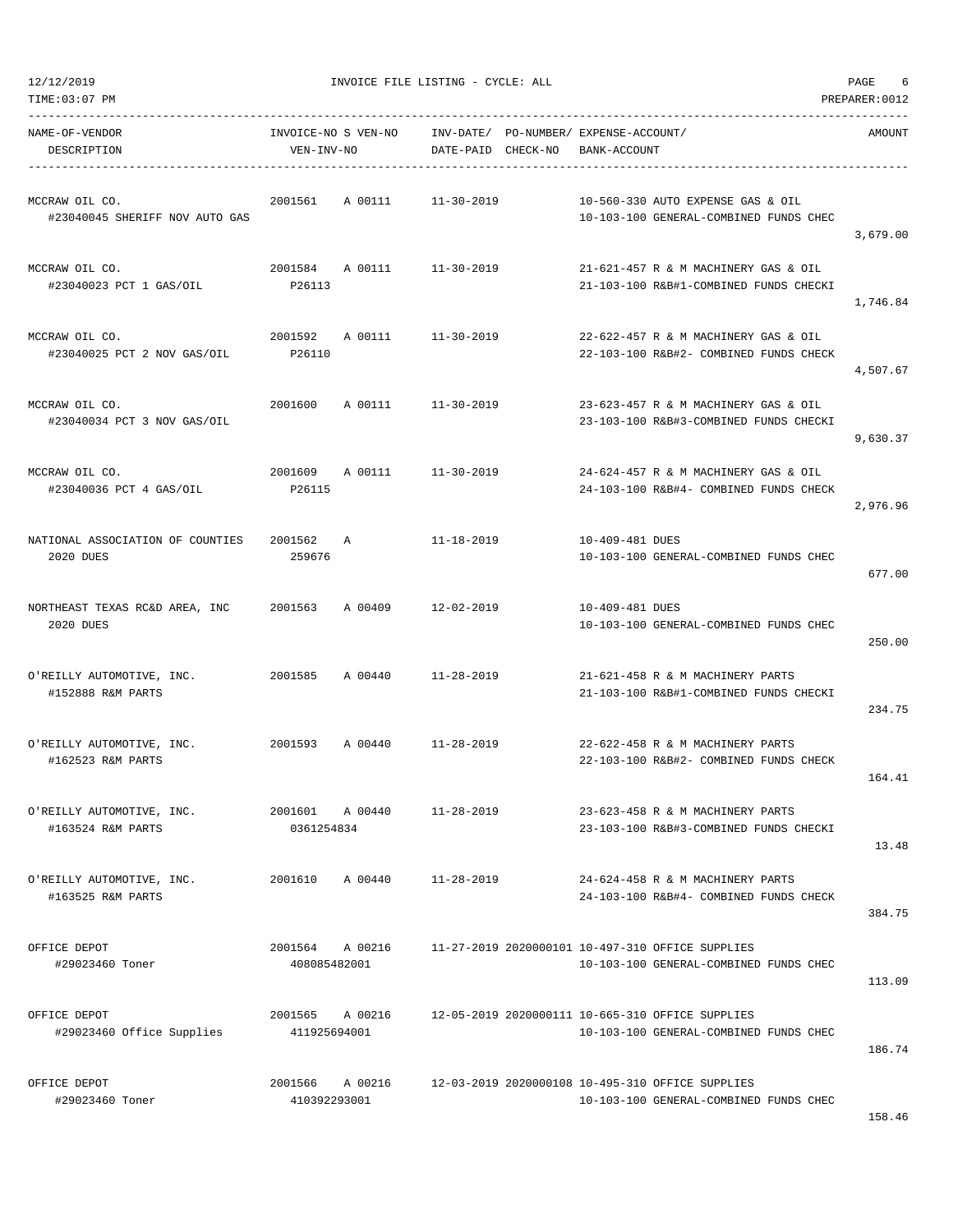| NAME-OF-VENDOR<br>DESCRIPTION                                          | INVOICE-NO S VEN-NO<br>VEN-INV-NO    | INV-DATE/ PO-NUMBER/ EXPENSE-ACCOUNT/<br>DATE-PAID CHECK-NO | BANK-ACCOUNT                                                                               | AMOUNT   |
|------------------------------------------------------------------------|--------------------------------------|-------------------------------------------------------------|--------------------------------------------------------------------------------------------|----------|
| MCCRAW OIL CO.<br>#23040045 SHERIFF NOV AUTO GAS                       | 2001561<br>A 00111                   | $11 - 30 - 2019$                                            | 10-560-330 AUTO EXPENSE GAS & OIL<br>10-103-100 GENERAL-COMBINED FUNDS CHEC                | 3,679.00 |
| MCCRAW OIL CO.<br>#23040023 PCT 1 GAS/OIL                              | 2001584 A 00111 11-30-2019<br>P26113 |                                                             | 21-621-457 R & M MACHINERY GAS & OIL<br>21-103-100 R&B#1-COMBINED FUNDS CHECKI             | 1,746.84 |
| MCCRAW OIL CO.<br>#23040025 PCT 2 NOV GAS/OIL                          | 2001592<br>A 00111<br>P26110         | $11 - 30 - 2019$                                            | 22-622-457 R & M MACHINERY GAS & OIL<br>22-103-100 R&B#2- COMBINED FUNDS CHECK             | 4,507.67 |
| MCCRAW OIL CO.<br>#23040034 PCT 3 NOV GAS/OIL                          | 2001600 A 00111                      | 11-30-2019                                                  | 23-623-457 R & M MACHINERY GAS & OIL<br>23-103-100 R&B#3-COMBINED FUNDS CHECKI             | 9,630.37 |
| MCCRAW OIL CO.<br>#23040036 PCT 4 GAS/OIL                              | 2001609 A 00111<br>P26115            | 11-30-2019                                                  | 24-624-457 R & M MACHINERY GAS & OIL<br>24-103-100 R&B#4- COMBINED FUNDS CHECK             | 2,976.96 |
| NATIONAL ASSOCIATION OF COUNTIES<br>2020 DUES                          | 2001562<br>Α<br>259676               | 11-18-2019                                                  | 10-409-481 DUES<br>10-103-100 GENERAL-COMBINED FUNDS CHEC                                  | 677.00   |
| NORTHEAST TEXAS RC&D AREA, INC 2001563 A 00409 12-02-2019<br>2020 DUES |                                      |                                                             | 10-409-481 DUES<br>10-103-100 GENERAL-COMBINED FUNDS CHEC                                  | 250.00   |
| O'REILLY AUTOMOTIVE, INC.<br>#152888 R&M PARTS                         | 2001585 A 00440                      | 11-28-2019                                                  | 21-621-458 R & M MACHINERY PARTS<br>21-103-100 R&B#1-COMBINED FUNDS CHECKI                 | 234.75   |
| O'REILLY AUTOMOTIVE, INC.<br>#162523 R&M PARTS                         | 2001593 A 00440 11-28-2019           |                                                             | 22-622-458 R & M MACHINERY PARTS<br>22-103-100 R&B#2- COMBINED FUNDS CHECK                 | 164.41   |
| O'REILLY AUTOMOTIVE, INC.<br>#163524 R&M PARTS                         | 2001601<br>A 00440<br>0361254834     | $11 - 28 - 2019$                                            | 23-623-458 R & M MACHINERY PARTS<br>23-103-100 R&B#3-COMBINED FUNDS CHECKI                 | 13.48    |
| O'REILLY AUTOMOTIVE, INC.<br>#163525 R&M PARTS                         | 2001610<br>A 00440                   | $11 - 28 - 2019$                                            | 24-624-458 R & M MACHINERY PARTS<br>24-103-100 R&B#4- COMBINED FUNDS CHECK                 | 384.75   |
| OFFICE DEPOT<br>#29023460 Toner                                        | 2001564 A 00216<br>408085482001      |                                                             | 11-27-2019 2020000101 10-497-310 OFFICE SUPPLIES<br>10-103-100 GENERAL-COMBINED FUNDS CHEC | 113.09   |
| OFFICE DEPOT<br>#29023460 Office Supplies                              | 2001565<br>A 00216<br>411925694001   |                                                             | 12-05-2019 2020000111 10-665-310 OFFICE SUPPLIES<br>10-103-100 GENERAL-COMBINED FUNDS CHEC | 186.74   |
| OFFICE DEPOT<br>#29023460 Toner                                        | 2001566<br>A 00216<br>410392293001   |                                                             | 12-03-2019 2020000108 10-495-310 OFFICE SUPPLIES<br>10-103-100 GENERAL-COMBINED FUNDS CHEC |          |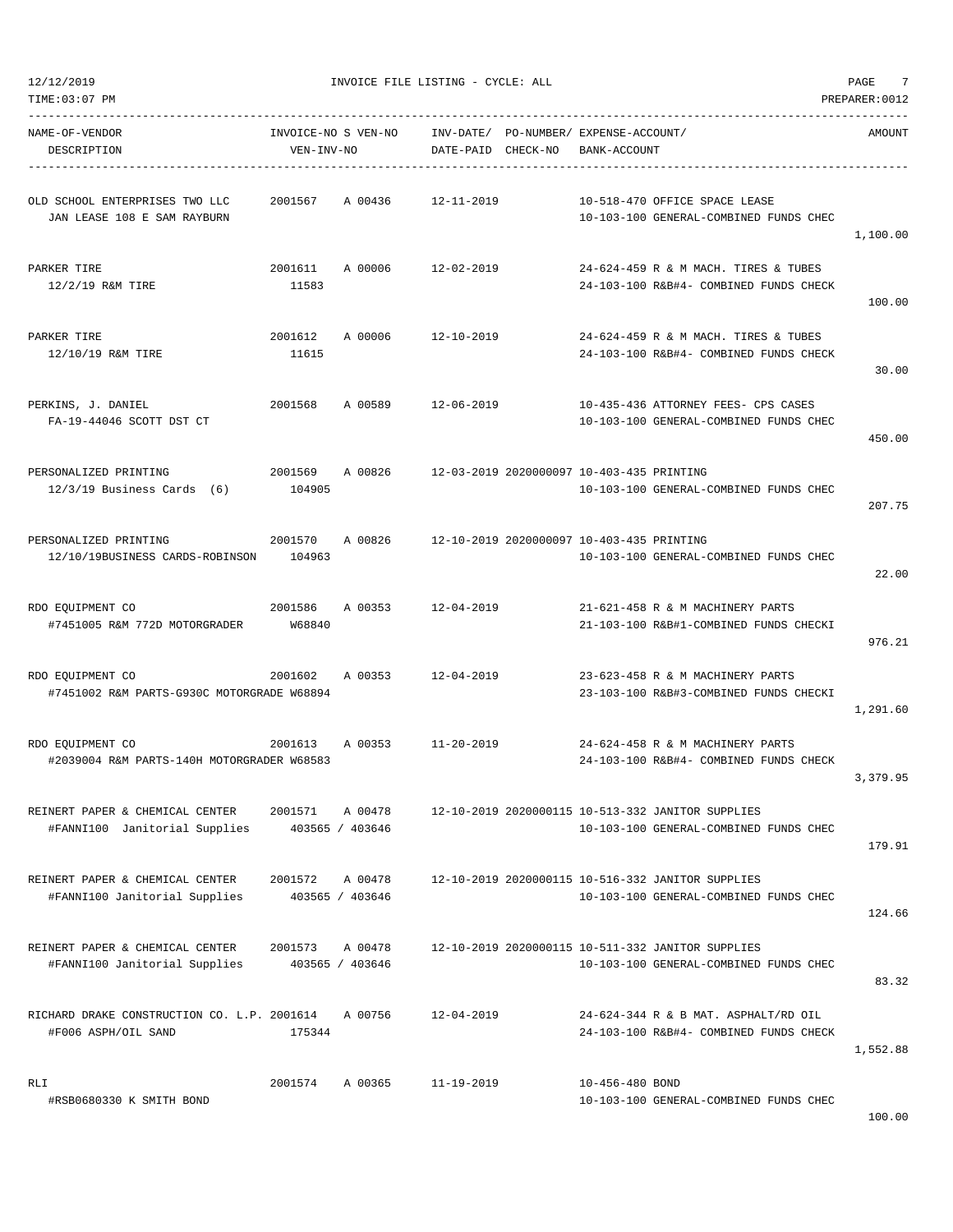|  | 12/12/2019 |  |
|--|------------|--|
|  |            |  |

| NAME-OF-VENDOR<br>DESCRIPTION                                                                     | INVOICE-NO S VEN-NO<br>VEN-INV-NO |                            | DATE-PAID CHECK-NO                                        | INV-DATE/ PO-NUMBER/ EXPENSE-ACCOUNT/<br>BANK-ACCOUNT |                                                                                             | AMOUNT   |
|---------------------------------------------------------------------------------------------------|-----------------------------------|----------------------------|-----------------------------------------------------------|-------------------------------------------------------|---------------------------------------------------------------------------------------------|----------|
| OLD SCHOOL ENTERPRISES TWO LLC 		 2001567 		 A 00436 		 12-11-2019<br>JAN LEASE 108 E SAM RAYBURN |                                   |                            |                                                           |                                                       | 10-518-470 OFFICE SPACE LEASE<br>10-103-100 GENERAL-COMBINED FUNDS CHEC                     | 1,100.00 |
| PARKER TIRE<br>12/2/19 R&M TIRE                                                                   | 11583                             |                            | 2001611 A 00006 12-02-2019                                |                                                       | 24-624-459 R & M MACH. TIRES & TUBES<br>24-103-100 R&B#4- COMBINED FUNDS CHECK              | 100.00   |
| PARKER TIRE<br>12/10/19 R&M TIRE                                                                  | 2001612<br>11615                  | A 00006                    | $12 - 10 - 2019$                                          |                                                       | 24-624-459 R & M MACH. TIRES & TUBES<br>24-103-100 R&B#4- COMBINED FUNDS CHECK              | 30.00    |
| PERKINS, J. DANIEL<br>FA-19-44046 SCOTT DST CT                                                    |                                   | 2001568 A 00589            | 12-06-2019                                                |                                                       | 10-435-436 ATTORNEY FEES- CPS CASES<br>10-103-100 GENERAL-COMBINED FUNDS CHEC               | 450.00   |
| PERSONALIZED PRINTING<br>$12/3/19$ Business Cards $(6)$                                           | 104905                            |                            | 2001569 A 00826 12-03-2019 2020000097 10-403-435 PRINTING |                                                       | 10-103-100 GENERAL-COMBINED FUNDS CHEC                                                      | 207.75   |
| PERSONALIZED PRINTING<br>2001570<br>12/10/19BUSINESS CARDS-ROBINSON                               | 104963                            |                            | A 00826 12-10-2019 2020000097 10-403-435 PRINTING         |                                                       | 10-103-100 GENERAL-COMBINED FUNDS CHEC                                                      | 22.00    |
| 2001586<br>RDO EOUIPMENT CO<br>#7451005 R&M 772D MOTORGRADER W68840                               |                                   |                            | A 00353 12-04-2019                                        |                                                       | 21-621-458 R & M MACHINERY PARTS<br>21-103-100 R&B#1-COMBINED FUNDS CHECKI                  | 976.21   |
| RDO EQUIPMENT CO<br>#7451002 R&M PARTS-G930C MOTORGRADE W68894                                    |                                   |                            | 2001602 A 00353 12-04-2019                                |                                                       | 23-623-458 R & M MACHINERY PARTS<br>23-103-100 R&B#3-COMBINED FUNDS CHECKI                  | 1,291.60 |
| RDO EQUIPMENT CO<br>#2039004 R&M PARTS-140H MOTORGRADER W68583                                    |                                   |                            | 2001613 A 00353 11-20-2019                                |                                                       | 24-624-458 R & M MACHINERY PARTS<br>24-103-100 R&B#4- COMBINED FUNDS CHECK                  | 3,379.95 |
| REINERT PAPER & CHEMICAL CENTER<br>#FANNI100 Janitorial Supplies                                  | 2001571                           | A 00478<br>403565 / 403646 |                                                           |                                                       | 12-10-2019 2020000115 10-513-332 JANITOR SUPPLIES<br>10-103-100 GENERAL-COMBINED FUNDS CHEC | 179.91   |
| REINERT PAPER & CHEMICAL CENTER<br>#FANNI100 Janitorial Supplies                                  | 2001572                           | A 00478<br>403565 / 403646 |                                                           |                                                       | 12-10-2019 2020000115 10-516-332 JANITOR SUPPLIES<br>10-103-100 GENERAL-COMBINED FUNDS CHEC | 124.66   |
| REINERT PAPER & CHEMICAL CENTER<br>#FANNI100 Janitorial Supplies                                  | 2001573                           | A 00478<br>403565 / 403646 |                                                           |                                                       | 12-10-2019 2020000115 10-511-332 JANITOR SUPPLIES<br>10-103-100 GENERAL-COMBINED FUNDS CHEC | 83.32    |
| RICHARD DRAKE CONSTRUCTION CO. L.P. 2001614<br>#F006 ASPH/OIL SAND                                | 175344                            | A 00756                    | $12 - 04 - 2019$                                          |                                                       | 24-624-344 R & B MAT. ASPHALT/RD OIL<br>24-103-100 R&B#4- COMBINED FUNDS CHECK              | 1,552.88 |
| RLI<br>#RSB0680330 K SMITH BOND                                                                   | 2001574                           | A 00365                    | $11 - 19 - 2019$                                          | 10-456-480 BOND                                       | 10-103-100 GENERAL-COMBINED FUNDS CHEC                                                      |          |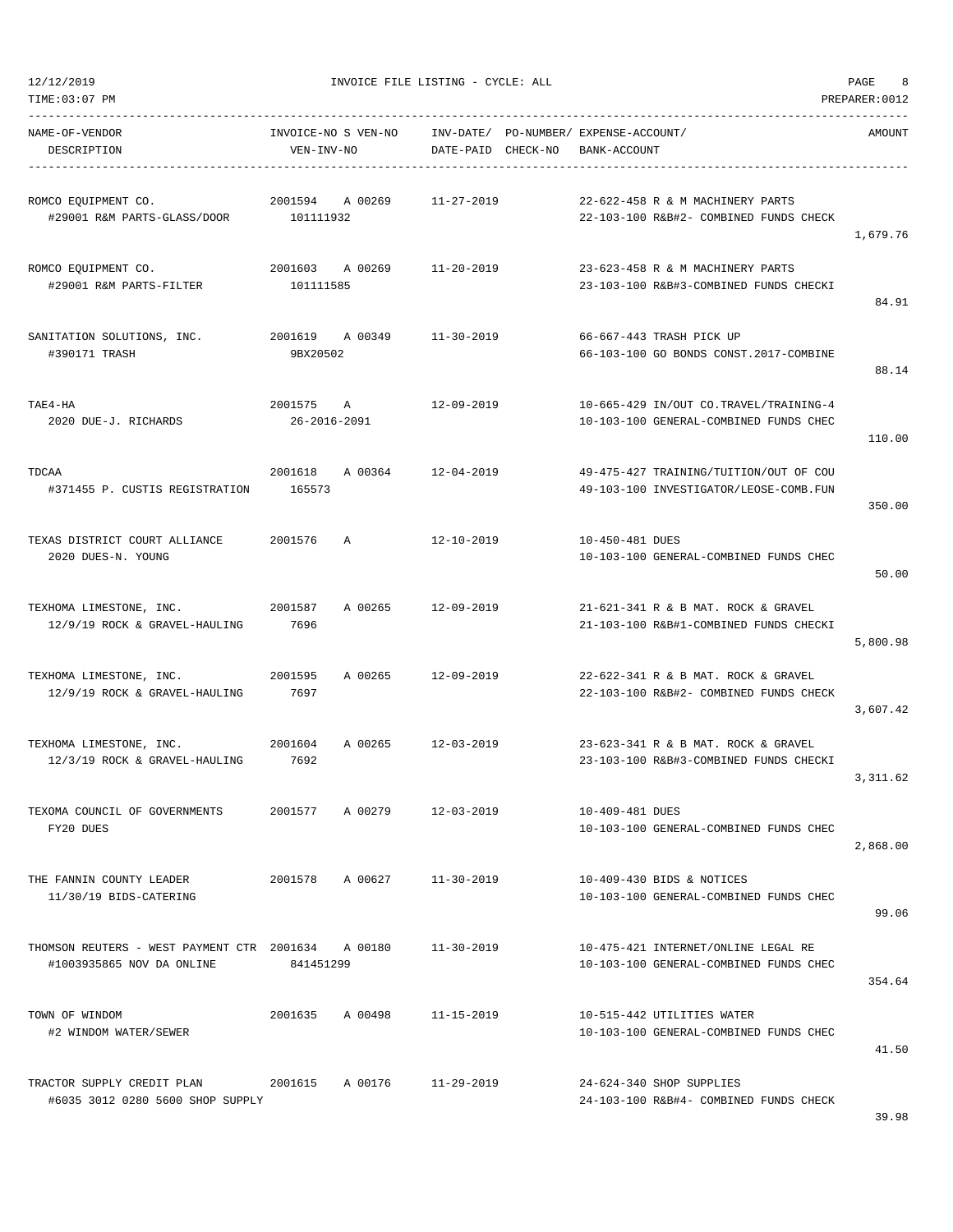| TIME: 03:07 PM                                                                  |                                   |                                 |                                                                                  | PREPARER: 0012 |
|---------------------------------------------------------------------------------|-----------------------------------|---------------------------------|----------------------------------------------------------------------------------|----------------|
| NAME-OF-VENDOR<br>DESCRIPTION                                                   | INVOICE-NO S VEN-NO<br>VEN-INV-NO | INV-DATE/<br>DATE-PAID CHECK-NO | PO-NUMBER/ EXPENSE-ACCOUNT/<br>BANK-ACCOUNT                                      | AMOUNT         |
| ROMCO EQUIPMENT CO.<br>#29001 R&M PARTS-GLASS/DOOR                              | 2001594<br>A 00269<br>101111932   | $11 - 27 - 2019$                | 22-622-458 R & M MACHINERY PARTS<br>22-103-100 R&B#2- COMBINED FUNDS CHECK       | 1,679.76       |
| ROMCO EQUIPMENT CO.<br>#29001 R&M PARTS-FILTER                                  | 2001603 A 00269<br>101111585      | 11-20-2019                      | 23-623-458 R & M MACHINERY PARTS<br>23-103-100 R&B#3-COMBINED FUNDS CHECKI       | 84.91          |
| SANITATION SOLUTIONS, INC.<br>#390171 TRASH                                     | 2001619<br>A 00349<br>9BX20502    | $11 - 30 - 2019$                | 66-667-443 TRASH PICK UP<br>66-103-100 GO BONDS CONST.2017-COMBINE               | 88.14          |
| TAE4-HA<br>2020 DUE-J. RICHARDS                                                 | 2001575<br>A<br>26-2016-2091      | 12-09-2019                      | 10-665-429 IN/OUT CO.TRAVEL/TRAINING-4<br>10-103-100 GENERAL-COMBINED FUNDS CHEC | 110.00         |
| TDCAA<br>#371455 P. CUSTIS REGISTRATION                                         | 2001618<br>A 00364<br>165573      | $12 - 04 - 2019$                | 49-475-427 TRAINING/TUITION/OUT OF COU<br>49-103-100 INVESTIGATOR/LEOSE-COMB.FUN | 350.00         |
| TEXAS DISTRICT COURT ALLIANCE<br>2020 DUES-N. YOUNG                             | 2001576<br>Α                      | $12 - 10 - 2019$                | 10-450-481 DUES<br>10-103-100 GENERAL-COMBINED FUNDS CHEC                        | 50.00          |
| TEXHOMA LIMESTONE, INC.<br>12/9/19 ROCK & GRAVEL-HAULING                        | A 00265<br>2001587<br>7696        | $12 - 09 - 2019$                | 21-621-341 R & B MAT. ROCK & GRAVEL<br>21-103-100 R&B#1-COMBINED FUNDS CHECKI    | 5,800.98       |
| TEXHOMA LIMESTONE, INC.<br>12/9/19 ROCK & GRAVEL-HAULING                        | 2001595<br>A 00265<br>7697        | 12-09-2019                      | 22-622-341 R & B MAT. ROCK & GRAVEL<br>22-103-100 R&B#2- COMBINED FUNDS CHECK    | 3,607.42       |
| TEXHOMA LIMESTONE, INC.<br>12/3/19 ROCK & GRAVEL-HAULING                        | 2001604<br>A 00265<br>7692        | 12-03-2019                      | 23-623-341 R & B MAT. ROCK & GRAVEL<br>23-103-100 R&B#3-COMBINED FUNDS CHECKI    | 3,311.62       |
| TEXOMA COUNCIL OF GOVERNMENTS<br>FY20 DUES                                      | 2001577<br>A 00279                | $12 - 03 - 2019$                | 10-409-481 DUES<br>10-103-100 GENERAL-COMBINED FUNDS CHEC                        | 2,868.00       |
| THE FANNIN COUNTY LEADER<br>11/30/19 BIDS-CATERING                              | 2001578<br>A 00627                | $11 - 30 - 2019$                | 10-409-430 BIDS & NOTICES<br>10-103-100 GENERAL-COMBINED FUNDS CHEC              | 99.06          |
| THOMSON REUTERS - WEST PAYMENT CTR 2001634 A 00180<br>#1003935865 NOV DA ONLINE | 841451299                         | $11 - 30 - 2019$                | 10-475-421 INTERNET/ONLINE LEGAL RE<br>10-103-100 GENERAL-COMBINED FUNDS CHEC    | 354.64         |
| TOWN OF WINDOM<br>#2 WINDOM WATER/SEWER                                         | 2001635<br>A 00498                | $11 - 15 - 2019$                | 10-515-442 UTILITIES WATER<br>10-103-100 GENERAL-COMBINED FUNDS CHEC             | 41.50          |
| TRACTOR SUPPLY CREDIT PLAN<br>#6035 3012 0280 5600 SHOP SUPPLY                  | 2001615<br>A 00176                | $11 - 29 - 2019$                | 24-624-340 SHOP SUPPLIES<br>24-103-100 R&B#4- COMBINED FUNDS CHECK               |                |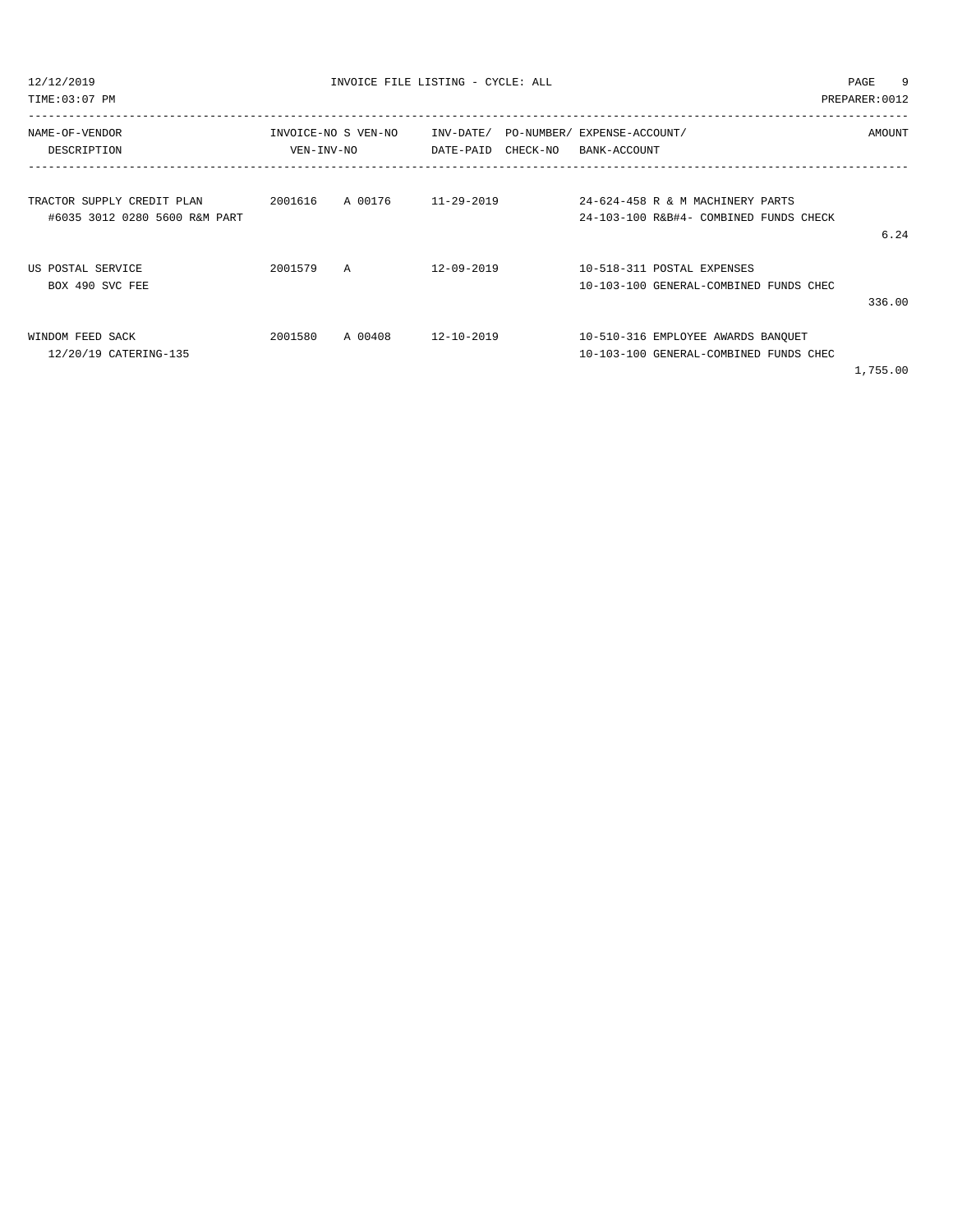| NAME-OF-VENDOR                |            | INVOICE-NO S VEN-NO | INV-DATE/ PO-NUMBER/ EXPENSE-ACCOUNT/ |          |              |                                        | AMOUNT   |
|-------------------------------|------------|---------------------|---------------------------------------|----------|--------------|----------------------------------------|----------|
| DESCRIPTION                   | VEN-INV-NO |                     | DATE-PAID                             | CHECK-NO | BANK-ACCOUNT |                                        |          |
|                               |            |                     |                                       |          |              |                                        |          |
| TRACTOR SUPPLY CREDIT PLAN    | 2001616    | A 00176             | 11-29-2019                            |          |              | 24-624-458 R & M MACHINERY PARTS       |          |
| #6035 3012 0280 5600 R&M PART |            |                     |                                       |          |              | 24-103-100 R&B#4- COMBINED FUNDS CHECK |          |
|                               |            |                     |                                       |          |              |                                        | 6.24     |
| US POSTAL SERVICE             | 2001579    | A                   | $12 - 09 - 2019$                      |          |              | 10-518-311 POSTAL EXPENSES             |          |
| BOX 490 SVC FEE               |            |                     |                                       |          |              | 10-103-100 GENERAL-COMBINED FUNDS CHEC |          |
|                               |            |                     |                                       |          |              |                                        | 336.00   |
| WINDOM FEED SACK              | 2001580    | A 00408             | 12-10-2019                            |          |              | 10-510-316 EMPLOYEE AWARDS BANQUET     |          |
| 12/20/19 CATERING-135         |            |                     |                                       |          |              | 10-103-100 GENERAL-COMBINED FUNDS CHEC |          |
|                               |            |                     |                                       |          |              |                                        | 1,755.00 |